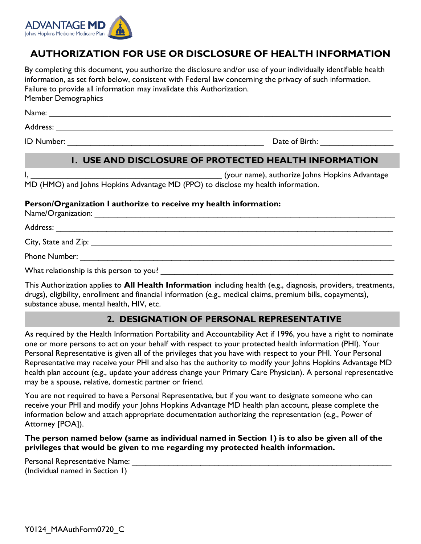

# **AUTHORIZATION FOR USE OR DISCLOSURE OF HEALTH INFORMATION**

By completing this document, you authorize the disclosure and/or use of your individually identifiable health information, as set forth below, consistent with Federal law concerning the privacy of such information. Failure to provide all information may invalidate this Authorization. Member Demographics

Name: \_\_\_\_\_\_\_\_\_\_\_\_\_\_\_\_\_\_\_\_\_\_\_\_\_\_\_\_\_\_\_\_\_\_\_\_\_\_\_\_\_\_\_\_\_\_\_\_\_\_\_\_\_\_\_\_\_\_\_\_\_\_\_\_\_\_\_\_\_\_\_\_\_\_\_

Address: \_\_\_\_\_\_\_\_\_\_\_\_\_\_\_\_\_\_\_\_\_\_\_\_\_\_\_\_\_\_\_\_\_\_\_\_\_\_\_\_\_\_\_\_\_\_\_\_\_\_\_\_\_\_\_\_\_\_\_\_\_\_\_\_\_\_\_\_\_\_\_\_\_\_

ID Number: \_\_\_\_\_\_\_\_\_\_\_\_\_\_\_\_\_\_\_\_\_\_\_\_\_\_\_\_\_\_\_\_\_\_\_\_\_\_\_\_\_\_\_ Date of Birth: \_\_\_\_\_\_\_\_\_\_\_\_\_\_\_\_

# **1. USE AND DISCLOSURE OF PROTECTED HEALTH INFORMATION**

I, The Communist Communist Communist Communist Communist Communist Communist Communist Communist Communist Comm MD (HMO) and Johns Hopkins Advantage MD (PPO) to disclose my health information.

#### **Person/Organization I authorize to receive my health information:**

Name/Organization: \_\_\_\_\_\_\_\_\_\_\_\_\_\_\_\_\_\_\_\_\_\_\_\_\_\_\_\_\_\_\_\_\_\_\_\_\_\_\_\_\_\_\_\_\_\_\_\_\_\_\_\_\_\_\_\_\_\_\_\_\_\_\_\_\_\_

Address: \_\_\_\_\_\_\_\_\_\_\_\_\_\_\_\_\_\_\_\_\_\_\_\_\_\_\_\_\_\_\_\_\_\_\_\_\_\_\_\_\_\_\_\_\_\_\_\_\_\_\_\_\_\_\_\_\_\_\_\_\_\_\_\_\_\_\_\_\_\_\_\_\_\_

City, State and Zip: \_\_\_\_\_\_\_\_\_\_\_\_\_\_\_\_\_\_\_\_\_\_\_\_\_\_\_\_\_\_\_\_\_\_\_\_\_\_\_\_\_\_\_\_\_\_\_\_\_\_\_\_\_\_\_\_\_\_\_\_\_\_\_\_\_\_

Phone Number:  $\Box$ 

What relationship is this person to you?

This Authorization applies to **All Health Information** including health (e.g., diagnosis, providers, treatments, drugs), eligibility, enrollment and financial information (e.g., medical claims, premium bills, copayments), substance abuse, mental health, HIV, etc.

## **2. DESIGNATION OF PERSONAL REPRESENTATIVE**

As required by the Health Information Portability and Accountability Act if 1996, you have a right to nominate one or more persons to act on your behalf with respect to your protected health information (PHI). Your Personal Representative is given all of the privileges that you have with respect to your PHI. Your Personal Representative may receive your PHI and also has the authority to modify your Johns Hopkins Advantage MD health plan account (e.g., update your address change your Primary Care Physician). A personal representative may be a spouse, relative, domestic partner or friend.

You are not required to have a Personal Representative, but if you want to designate someone who can receive your PHI and modify your Johns Hopkins Advantage MD health plan account, please complete the information below and attach appropriate documentation authorizing the representation (e.g., Power of Attorney [POA]).

### **The person named below (same as individual named in Section 1) is to also be given all of the privileges that would be given to me regarding my protected health information.**

Personal Representative Name: \_\_\_\_\_\_\_\_\_\_\_\_\_\_\_\_\_\_\_\_\_\_\_\_\_\_\_\_\_\_\_\_\_\_\_\_\_\_\_\_\_\_\_\_\_\_\_\_\_\_\_\_\_\_\_\_\_ (Individual named in Section 1)

Y0124 MAAuthForm0720 C